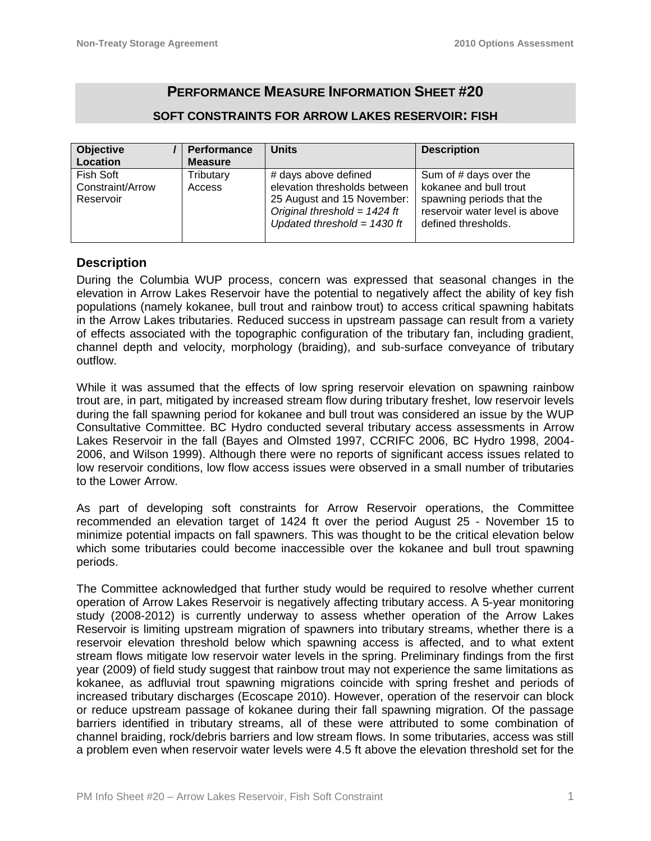# **PERFORMANCE MEASURE INFORMATION SHEET #20**

# **SOFT CONSTRAINTS FOR ARROW LAKES RESERVOIR: FISH**

| <b>Objective</b> | <b>Performance</b> | <b>Units</b>                   | <b>Description</b>             |
|------------------|--------------------|--------------------------------|--------------------------------|
| Location         | <b>Measure</b>     |                                |                                |
| Fish Soft        | Tributary          | # days above defined           | Sum of # days over the         |
| Constraint/Arrow | <b>Access</b>      | elevation thresholds between   | kokanee and bull trout         |
| Reservoir        |                    | 25 August and 15 November:     | spawning periods that the      |
|                  |                    | Original threshold = $1424$ ft | reservoir water level is above |
|                  |                    | Updated threshold = $1430$ ft  | defined thresholds.            |
|                  |                    |                                |                                |

### **Description**

During the Columbia WUP process, concern was expressed that seasonal changes in the elevation in Arrow Lakes Reservoir have the potential to negatively affect the ability of key fish populations (namely kokanee, bull trout and rainbow trout) to access critical spawning habitats in the Arrow Lakes tributaries. Reduced success in upstream passage can result from a variety of effects associated with the topographic configuration of the tributary fan, including gradient, channel depth and velocity, morphology (braiding), and sub-surface conveyance of tributary outflow.

While it was assumed that the effects of low spring reservoir elevation on spawning rainbow trout are, in part, mitigated by increased stream flow during tributary freshet, low reservoir levels during the fall spawning period for kokanee and bull trout was considered an issue by the WUP Consultative Committee. BC Hydro conducted several tributary access assessments in Arrow Lakes Reservoir in the fall (Bayes and Olmsted 1997, CCRIFC 2006, BC Hydro 1998, 2004- 2006, and Wilson 1999). Although there were no reports of significant access issues related to low reservoir conditions, low flow access issues were observed in a small number of tributaries to the Lower Arrow.

As part of developing soft constraints for Arrow Reservoir operations, the Committee recommended an elevation target of 1424 ft over the period August 25 - November 15 to minimize potential impacts on fall spawners. This was thought to be the critical elevation below which some tributaries could become inaccessible over the kokanee and bull trout spawning periods.

The Committee acknowledged that further study would be required to resolve whether current operation of Arrow Lakes Reservoir is negatively affecting tributary access. A 5-year monitoring study (2008-2012) is currently underway to assess whether operation of the Arrow Lakes Reservoir is limiting upstream migration of spawners into tributary streams, whether there is a reservoir elevation threshold below which spawning access is affected, and to what extent stream flows mitigate low reservoir water levels in the spring. Preliminary findings from the first year (2009) of field study suggest that rainbow trout may not experience the same limitations as kokanee, as adfluvial trout spawning migrations coincide with spring freshet and periods of increased tributary discharges (Ecoscape 2010). However, operation of the reservoir can block or reduce upstream passage of kokanee during their fall spawning migration. Of the passage barriers identified in tributary streams, all of these were attributed to some combination of channel braiding, rock/debris barriers and low stream flows. In some tributaries, access was still a problem even when reservoir water levels were 4.5 ft above the elevation threshold set for the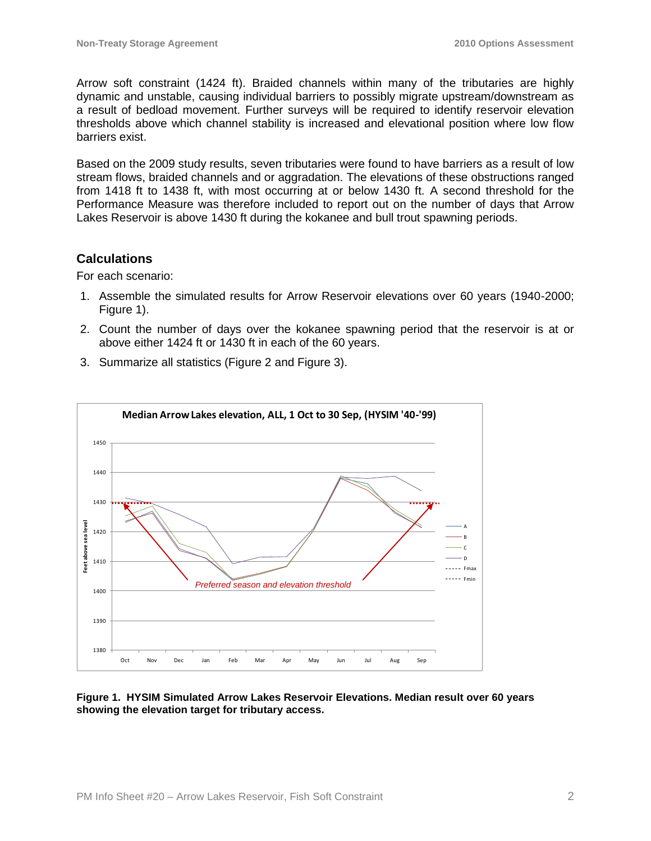Arrow soft constraint (1424 ft). Braided channels within many of the tributaries are highly dynamic and unstable, causing individual barriers to possibly migrate upstream/downstream as a result of bedload movement. Further surveys will be required to identify reservoir elevation thresholds above which channel stability is increased and elevational position where low flow barriers exist.

Based on the 2009 study results, seven tributaries were found to have barriers as a result of low stream flows, braided channels and or aggradation. The elevations of these obstructions ranged from 1418 ft to 1438 ft, with most occurring at or below 1430 ft. A second threshold for the Performance Measure was therefore included to report out on the number of days that Arrow Lakes Reservoir is above 1430 ft during the kokanee and bull trout spawning periods.

# **Calculations**

For each scenario:

- 1. Assemble the simulated results for Arrow Reservoir elevations over 60 years (1940-2000; Figure 1).
- 2. Count the number of days over the kokanee spawning period that the reservoir is at or above either 1424 ft or 1430 ft in each of the 60 years.
- 3. Summarize all statistics (Figure 2 and Figure 3).



#### **Figure 1. HYSIM Simulated Arrow Lakes Reservoir Elevations. Median result over 60 years showing the elevation target for tributary access.**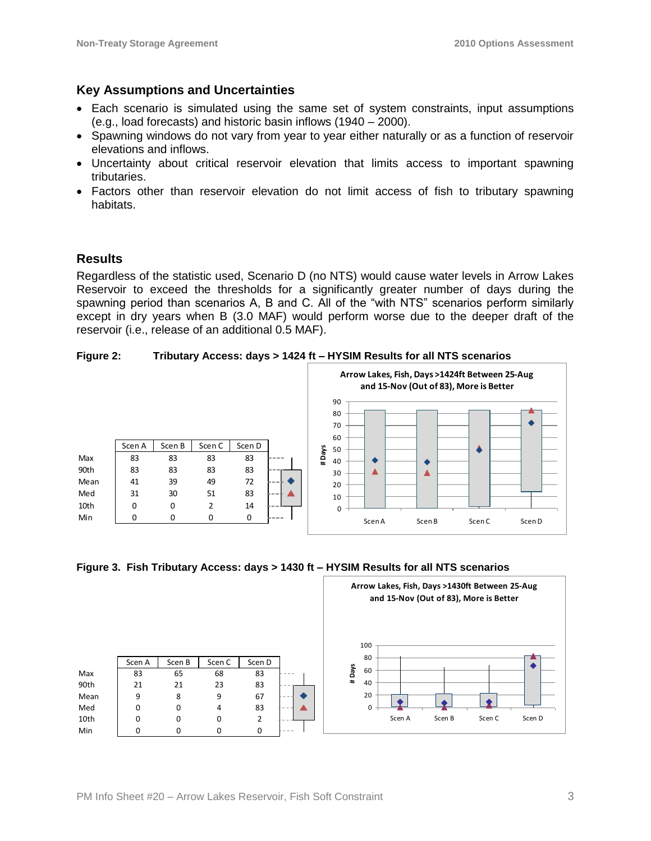# **Key Assumptions and Uncertainties**

- Each scenario is simulated using the same set of system constraints, input assumptions (e.g., load forecasts) and historic basin inflows (1940 – 2000).
- Spawning windows do not vary from year to year either naturally or as a function of reservoir elevations and inflows.
- Uncertainty about critical reservoir elevation that limits access to important spawning tributaries.
- Factors other than reservoir elevation do not limit access of fish to tributary spawning habitats.

# **Results**

Regardless of the statistic used, Scenario D (no NTS) would cause water levels in Arrow Lakes Reservoir to exceed the thresholds for a significantly greater number of days during the spawning period than scenarios A, B and C. All of the "with NTS" scenarios perform similarly except in dry years when B (3.0 MAF) would perform worse due to the deeper draft of the reservoir (i.e., release of an additional 0.5 MAF).

**Figure 2: Tributary Access: days > 1424 ft – HYSIM Results for all NTS scenarios**



**Figure 3. Fish Tributary Access: days > 1430 ft – HYSIM Results for all NTS scenarios**

|      |             |             |        |                | Arrow Lakes, Fish, Days >1430ft Between 25-Aug<br>and 15-Nov (Out of 83), More is Better |
|------|-------------|-------------|--------|----------------|------------------------------------------------------------------------------------------|
|      | Scen A      | Scen B      | Scen C | Scen D         | 100<br>80                                                                                |
| Max  | 83          | 65          | 68     | 83             | # Days<br>60                                                                             |
| 90th | 21          | 21          | 23     | 83             | 40                                                                                       |
| Mean | 9           | 8           | 9      | 67             | 20                                                                                       |
| Med  | $\Omega$    | $\mathbf 0$ | 4      | 83             | $\Omega$                                                                                 |
| 10th | $\mathbf 0$ | $\mathbf 0$ | 0      | $\overline{2}$ | Scen D<br>Scen B<br>Scen A<br>Scen C                                                     |
| Min  | 0           | 0           | 0      | 0              |                                                                                          |